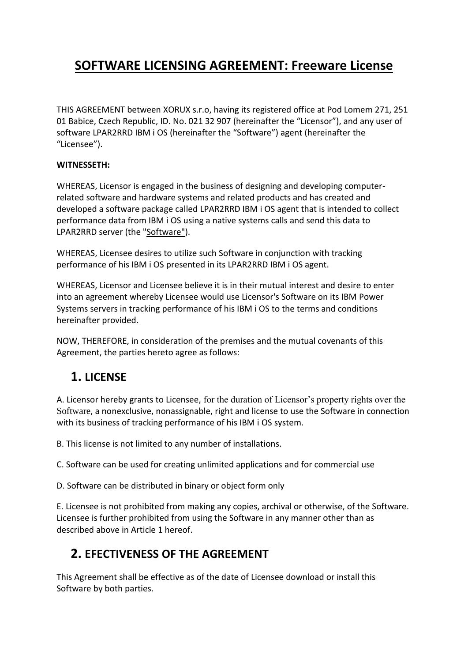## **SOFTWARE LICENSING AGREEMENT: Freeware License**

THIS AGREEMENT between XORUX s.r.o, having its registered office at Pod Lomem 271, 251 01 Babice, Czech Republic, ID. No. 021 32 907 (hereinafter the "Licensor"), and any user of software LPAR2RRD IBM i OS (hereinafter the "Software") agent (hereinafter the "Licensee").

#### **WITNESSETH:**

WHEREAS, Licensor is engaged in the business of designing and developing computerrelated software and hardware systems and related products and has created and developed a software package called LPAR2RRD IBM i OS agent that is intended to collect performance data from IBM i OS using a native systems calls and send this data to LPAR2RRD server (the "Software").

WHEREAS, Licensee desires to utilize such Software in conjunction with tracking performance of his IBM i OS presented in its LPAR2RRD IBM i OS agent.

WHEREAS, Licensor and Licensee believe it is in their mutual interest and desire to enter into an agreement whereby Licensee would use Licensor's Software on its IBM Power Systems servers in tracking performance of his IBM i OS to the terms and conditions hereinafter provided.

NOW, THEREFORE, in consideration of the premises and the mutual covenants of this Agreement, the parties hereto agree as follows:

#### **1. LICENSE**

A. Licensor hereby grants to Licensee, for the duration of Licensor's property rights over the Software, a nonexclusive, nonassignable, right and license to use the Software in connection with its business of tracking performance of his IBM i OS system.

B. This license is not limited to any number of installations.

C. Software can be used for creating unlimited applications and for commercial use

D. Software can be distributed in binary or object form only

E. Licensee is not prohibited from making any copies, archival or otherwise, of the Software. Licensee is further prohibited from using the Software in any manner other than as described above in Article 1 hereof.

## **2. EFECTIVENESS OF THE AGREEMENT**

This Agreement shall be effective as of the date of Licensee download or install this Software by both parties.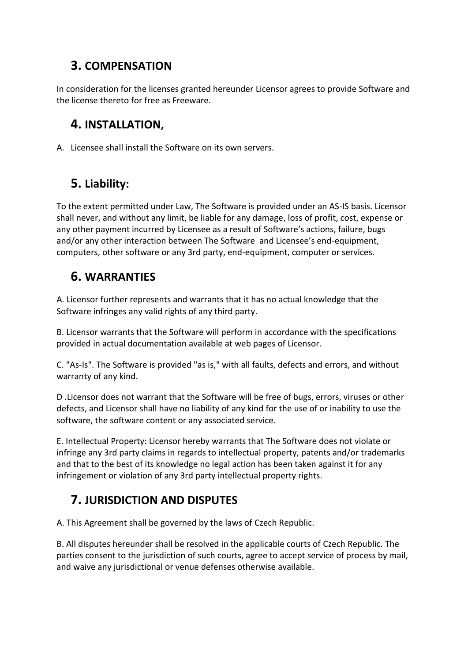### **3. COMPENSATION**

In consideration for the licenses granted hereunder Licensor agrees to provide Software and the license thereto for free as Freeware.

#### **4. INSTALLATION,**

A. Licensee shall install the Software on its own servers.

# **5. Liability:**

To the extent permitted under Law, The Software is provided under an AS-IS basis. Licensor shall never, and without any limit, be liable for any damage, loss of profit, cost, expense or any other payment incurred by Licensee as a result of Software's actions, failure, bugs and/or any other interaction between The Software and Licensee's end-equipment, computers, other software or any 3rd party, end-equipment, computer or services.

### **6. WARRANTIES**

A. Licensor further represents and warrants that it has no actual knowledge that the Software infringes any valid rights of any third party.

B. Licensor warrants that the Software will perform in accordance with the specifications provided in actual documentation available at web pages of Licensor.

C. "As-Is". The Software is provided "as is," with all faults, defects and errors, and without warranty of any kind.

D .Licensor does not warrant that the Software will be free of bugs, errors, viruses or other defects, and Licensor shall have no liability of any kind for the use of or inability to use the software, the software content or any associated service.

E. Intellectual Property: Licensor hereby warrants that The Software does not violate or infringe any 3rd party claims in regards to intellectual property, patents and/or trademarks and that to the best of its knowledge no legal action has been taken against it for any infringement or violation of any 3rd party intellectual property rights.

## **7. JURISDICTION AND DISPUTES**

A. This Agreement shall be governed by the laws of Czech Republic.

B. All disputes hereunder shall be resolved in the applicable courts of Czech Republic. The parties consent to the jurisdiction of such courts, agree to accept service of process by mail, and waive any jurisdictional or venue defenses otherwise available.